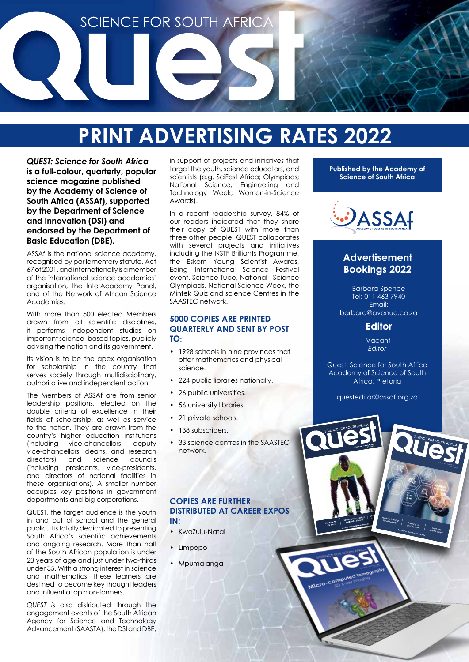

# **PRINT ADVERTISING RATES 2022**

*QUEST: Science for South Africa*  **is a full-colour, quarterly, popular science magazine published by the Academy of Science of South Africa (ASSAf), supported by the Department of Science and Innovation (DSI) and endorsed by the Department of Basic Education (DBE).**

ASSAf is the national science academy, recognised by parliamentary statute, Act 67 of 2001, and internationally is a member of the international science academies' organisation, the InterAcademy Panel, and of the Network of African Science Academies.

With more than 500 elected Members drawn from all scientific disciplines, it performs independent studies on important science- based topics, publicly advising the nation and its government.

Its vision is to be the apex organisation for scholarship in the country that serves society through multidisciplinary, authoritative and independent action.

The Members of ASSAf are from senior leadership positions, elected on the double criteria of excellence in their fields of scholarship, as well as service to the nation. They are drawn from the country's higher education institutions (including vice-chancellors, deputy vice-chancellors, deans, and research<br>directors) and science councils directors) and science councils (including presidents, vice-presidents, and directors of national facilities in these organisations). A smaller number occupies key positions in government departments and big corporations.

QUEST, the target audience is the youth in and out of school and the general public. It is totally dedicated to presenting South Africa's scientific achievements and ongoing research. More than half of the South African population is under 23 years of age and just under two-thirds under 35. With a strong interest in science and mathematics, these learners are destined to become key thought leaders and influential opinion-formers.

*QUEST i*s also distributed through the engagement events of the South African Agency for Science and Technology Advancement (SAASTA), the DSI and DBE,

in support of projects and initiatives that target the youth, science educators, and scientists (e.g. SciFest Africa; Olympiads; National Science, Engineering and Technology Week; Women-in-Science Awards).

In a recent readership survey, 84% of our readers indicated that they share their copy of QUEST with more than three other people. QUEST collaborates with several projects and initiatives including the NSTF Brilliants Programme, the Eskom Young Scientist Awards, Eding International Science Festival event, Science Tube, National Science Olympiads, National Science Week, the Mintek Quiz and science Centres in the SAASTEC network.

#### **5000 COPIES ARE PRINTED QUARTERLY AND SENT BY POST TO:**

- 1928 schools in nine provinces that offer mathematics and physical science.
- 224 public libraries nationally.
- 26 public universities.
- 56 university libraries.
- 21 private schools.
- 138 subscribers.
- 33 science centres in the SAASTEC network.

### **COPIES ARE FURTHER DISTRIBUTED AT CAREER EXPOS IN:**

- KwaZulu-Natal
- Limpopo
- Mpumalanga

**Published by the Academy of Science of South Africa**



### **Advertisement Bookings 2022**

Barbara Spence Tel: 011 463 7940 Email: barbara@avenue.co.za

### **Editor**

Vacant *Editor* 

Quest: Science for South Africa Academy of Science of South Africa, Pretoria

questeditor@assaf.org.za

O

VOLUME **<sup>15</sup>** | NUMBER

*Math–Art steams ahead*

**ACADEMY OF SCIENCE OF SOUTH AFRICA**

*Standing up for clean air*

*Machine learning for astronomy*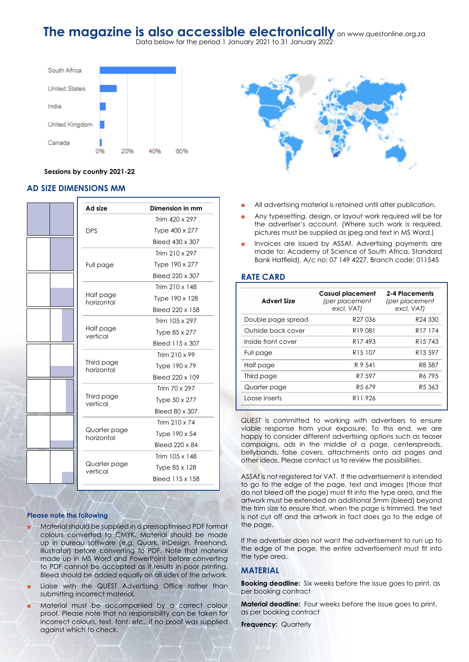### **The magazine is also accessible electronically** on www.questonline.org.za

Data below for the period 1 January 2021 to 31 January 2022



#### **Sessions by country 2021-22**

#### **AD SIZE DIMENSIONS MM**

|  | Ad size                    | Dimension in mm |
|--|----------------------------|-----------------|
|  |                            | Trim 420 x 297  |
|  | <b>DPS</b>                 | Type 400 x 277  |
|  |                            | Bleed 430 x 307 |
|  |                            | Trim 210 x 297  |
|  | Full page                  | Type 190 x 277  |
|  |                            | Bleed 220 x 307 |
|  | Half page<br>horizontal    | Trim 210 x 148  |
|  |                            | Type 190 x 128  |
|  |                            | Bleed 220 x 158 |
|  | Half page<br>vertical      | Trim 105 x 297  |
|  |                            | Type 85 x 277   |
|  |                            | Bleed 115 x 307 |
|  | Third page<br>horizontal   | Trim 210 x 99   |
|  |                            | Type 190 x 79   |
|  |                            | Bleed 220 x 109 |
|  | Third page<br>vertical     | Trim 70 x 297   |
|  |                            | Type 50 x 277   |
|  |                            | Bleed 80 x 307  |
|  |                            | Trim 210 x 74   |
|  | Quarter page<br>horizontal | Type 190 x 54   |
|  |                            | Bleed 220 x 84  |
|  | Quarter page<br>vertical   | Trim 105 x 148  |
|  |                            | Type 85 x 128   |
|  |                            | Bleed 115 x 158 |

#### **Please note the following**

- Material should be supplied in a pressoptimised PDF format colours converted to CMYK. Material should be made up in bureau software (e.g. Quark, InDesign, Freehand, Illustrator) before converting to PDF. Note that material made up in MS Word and PowerPoint before converting to PDF cannot be accepted as it results in poor printing. Bleed should be added equally on all sides of the artwork.
- Liaise with the QUEST Advertising Office rather than submitting incorrect material.
- Material must be accompanied by a correct colour proof. Please note that no responsibility can be taken for incorrect colours, text, font, etc., if no proof was supplied against which to check.



- All advertising material is retained until after publication.
- Any typesetting, design, or layout work required will be for the advertiser's account. (Where such work is required, pictures must be supplied as jpeg and text in MS Word.)
- Invoices are issued by ASSAf. Advertising payments are made to: Academy of Science of South Africa, Standard Bank Hatfield), A/c no: 07 149 4227, Branch code: 011545

#### **RATE CARD**

| <b>Advert Size</b> | <b>Casual placement</b><br>(per placement<br>excl. VAT) | 2-4 Placements<br>(per placement<br>excl. VAT) |
|--------------------|---------------------------------------------------------|------------------------------------------------|
| Double page spread | R <sub>27</sub> 036                                     | R24 330                                        |
| Outside back cover | R <sub>19</sub> 081                                     | R <sub>17</sub> 174                            |
| Inside front cover | R <sub>17</sub> 493                                     | R <sub>15</sub> 743                            |
| Full page          | R <sub>15</sub> 107                                     | R13597                                         |
| Half page          | R 9 541                                                 | R8 587                                         |
| Third page         | R7 597                                                  | R6 795                                         |
| Quarter page       | R <sub>5</sub> 679                                      | R <sub>5</sub> 363                             |
| Loose inserts      | R <sub>11</sub> 926                                     |                                                |
|                    |                                                         |                                                |

*QUEST* is committed to working with advertisers to ensure viable response from your exposure. To this end, we are happy to consider different advertising options such as teaser campaigns, ads in the middle of a page, centerspreads, bellybands, false covers, attachments onto ad pages and other ideas. Please contact us to review the possibilities.

ASSAf is not registered for VAT. If the advertisement is intended to go to the edge of the page, text and images (those that do not bleed off the page) must fit into the type area, and the artwork must be extended an additional 5mm (bleed) beyond the trim size to ensure that, when the page is trimmed, the text is not cut off and the artwork in fact does go to the edge of the page.

If the advertiser does not want the advertisement to run up to the edge of the page, the entire advertisement must fit into the type area.

#### **MATERIAL**

**Booking deadline:** Six weeks before the issue goes to print, as per booking contract

**Material deadline:** Four weeks before the issue goes to print, as per booking contract

**Frequency: Quarterly**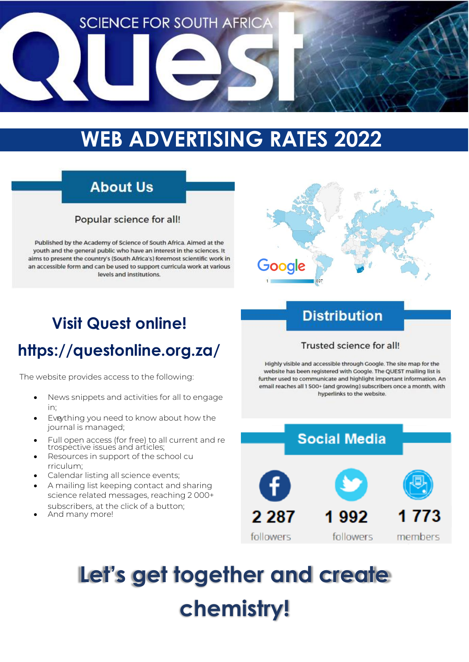

# **WEB ADVERTISING RATES 2022**

## **About Us**

### Popular science for all!

Published by the Academy of Science of South Africa. Aimed at the youth and the general public who have an interest in the sciences. It aims to present the country's (South Africa's) foremost scientific work in an accessible form and can be used to support curricula work at various levels and institutions



# **Visit Quest online!**

# **<https://questonline.org.za/>**

The website provides access to the following:

- News snippets and activities for all to engage in;
- Eveything you need to know about how the journal is managed;
- Full open access (for free) to all current and re trospective issues and articles;
- Resources in support of the school cu rriculum;
- Calendar listing all science events;
- A mailing list keeping contact and sharing science related messages, reaching 2 000+ subscribers, at the click of a button;
- And many more!

## **Distribution**

### Trusted science for all!

Highly visible and accessible through Google. The site map for the website has been registered with Google. The QUEST mailing list is further used to communicate and highlight important information. An email reaches all 1 500+ (and growing) subscribers once a month, with hyperlinks to the website.



# **Let's get together and create chemistry!**